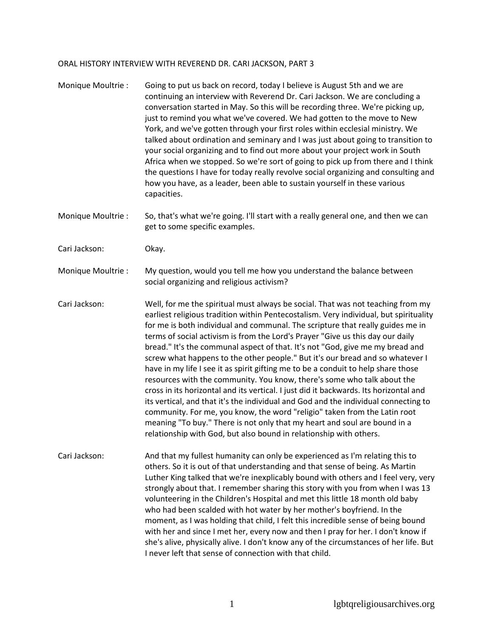## ORAL HISTORY INTERVIEW WITH REVEREND DR. CARI JACKSON, PART 3

| Monique Moultrie : | Going to put us back on record, today I believe is August 5th and we are<br>continuing an interview with Reverend Dr. Cari Jackson. We are concluding a<br>conversation started in May. So this will be recording three. We're picking up,<br>just to remind you what we've covered. We had gotten to the move to New<br>York, and we've gotten through your first roles within ecclesial ministry. We<br>talked about ordination and seminary and I was just about going to transition to<br>your social organizing and to find out more about your project work in South<br>Africa when we stopped. So we're sort of going to pick up from there and I think<br>the questions I have for today really revolve social organizing and consulting and<br>how you have, as a leader, been able to sustain yourself in these various<br>capacities.                                                                                                                                                                                                                                               |
|--------------------|------------------------------------------------------------------------------------------------------------------------------------------------------------------------------------------------------------------------------------------------------------------------------------------------------------------------------------------------------------------------------------------------------------------------------------------------------------------------------------------------------------------------------------------------------------------------------------------------------------------------------------------------------------------------------------------------------------------------------------------------------------------------------------------------------------------------------------------------------------------------------------------------------------------------------------------------------------------------------------------------------------------------------------------------------------------------------------------------|
| Monique Moultrie : | So, that's what we're going. I'll start with a really general one, and then we can<br>get to some specific examples.                                                                                                                                                                                                                                                                                                                                                                                                                                                                                                                                                                                                                                                                                                                                                                                                                                                                                                                                                                           |
| Cari Jackson:      | Okay.                                                                                                                                                                                                                                                                                                                                                                                                                                                                                                                                                                                                                                                                                                                                                                                                                                                                                                                                                                                                                                                                                          |
| Monique Moultrie:  | My question, would you tell me how you understand the balance between<br>social organizing and religious activism?                                                                                                                                                                                                                                                                                                                                                                                                                                                                                                                                                                                                                                                                                                                                                                                                                                                                                                                                                                             |
| Cari Jackson:      | Well, for me the spiritual must always be social. That was not teaching from my<br>earliest religious tradition within Pentecostalism. Very individual, but spirituality<br>for me is both individual and communal. The scripture that really guides me in<br>terms of social activism is from the Lord's Prayer "Give us this day our daily<br>bread." It's the communal aspect of that. It's not "God, give me my bread and<br>screw what happens to the other people." But it's our bread and so whatever I<br>have in my life I see it as spirit gifting me to be a conduit to help share those<br>resources with the community. You know, there's some who talk about the<br>cross in its horizontal and its vertical. I just did it backwards. Its horizontal and<br>its vertical, and that it's the individual and God and the individual connecting to<br>community. For me, you know, the word "religio" taken from the Latin root<br>meaning "To buy." There is not only that my heart and soul are bound in a<br>relationship with God, but also bound in relationship with others. |
| Cari Jackson:      | And that my fullest humanity can only be experienced as I'm relating this to<br>others. So it is out of that understanding and that sense of being. As Martin<br>Luther King talked that we're inexplicably bound with others and I feel very, very<br>strongly about that. I remember sharing this story with you from when I was 13<br>volunteering in the Children's Hospital and met this little 18 month old baby<br>who had been scalded with hot water by her mother's boyfriend. In the<br>moment, as I was holding that child, I felt this incredible sense of being bound<br>with her and since I met her, every now and then I pray for her. I don't know if<br>she's alive, physically alive. I don't know any of the circumstances of her life. But<br>I never left that sense of connection with that child.                                                                                                                                                                                                                                                                     |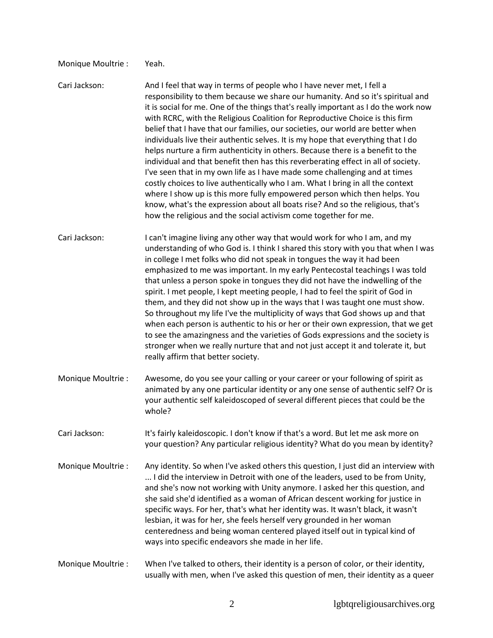## Monique Moultrie : Yeah.

- Cari Jackson: And I feel that way in terms of people who I have never met, I fell a responsibility to them because we share our humanity. And so it's spiritual and it is social for me. One of the things that's really important as I do the work now with RCRC, with the Religious Coalition for Reproductive Choice is this firm belief that I have that our families, our societies, our world are better when individuals live their authentic selves. It is my hope that everything that I do helps nurture a firm authenticity in others. Because there is a benefit to the individual and that benefit then has this reverberating effect in all of society. I've seen that in my own life as I have made some challenging and at times costly choices to live authentically who I am. What I bring in all the context where I show up is this more fully empowered person which then helps. You know, what's the expression about all boats rise? And so the religious, that's how the religious and the social activism come together for me.
- Cari Jackson: I can't imagine living any other way that would work for who I am, and my understanding of who God is. I think I shared this story with you that when I was in college I met folks who did not speak in tongues the way it had been emphasized to me was important. In my early Pentecostal teachings I was told that unless a person spoke in tongues they did not have the indwelling of the spirit. I met people, I kept meeting people, I had to feel the spirit of God in them, and they did not show up in the ways that I was taught one must show. So throughout my life I've the multiplicity of ways that God shows up and that when each person is authentic to his or her or their own expression, that we get to see the amazingness and the varieties of Gods expressions and the society is stronger when we really nurture that and not just accept it and tolerate it, but really affirm that better society.
- Monique Moultrie : Awesome, do you see your calling or your career or your following of spirit as animated by any one particular identity or any one sense of authentic self? Or is your authentic self kaleidoscoped of several different pieces that could be the whole?
- Cari Jackson: It's fairly kaleidoscopic. I don't know if that's a word. But let me ask more on your question? Any particular religious identity? What do you mean by identity?
- Monique Moultrie : Any identity. So when I've asked others this question, I just did an interview with ... I did the interview in Detroit with one of the leaders, used to be from Unity, and she's now not working with Unity anymore. I asked her this question, and she said she'd identified as a woman of African descent working for justice in specific ways. For her, that's what her identity was. It wasn't black, it wasn't lesbian, it was for her, she feels herself very grounded in her woman centeredness and being woman centered played itself out in typical kind of ways into specific endeavors she made in her life.
- Monique Moultrie : When I've talked to others, their identity is a person of color, or their identity, usually with men, when I've asked this question of men, their identity as a queer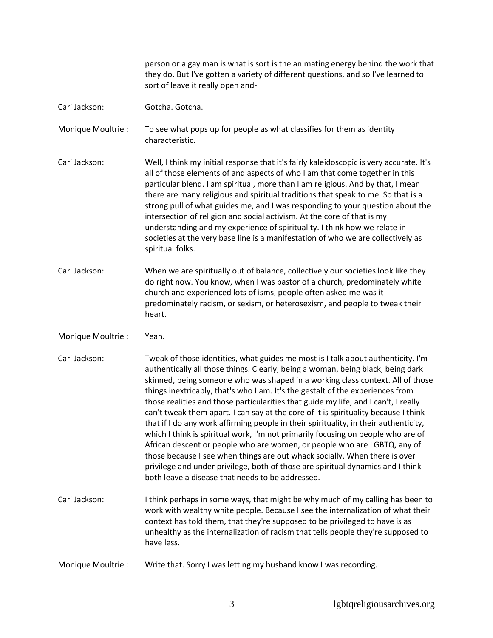person or a gay man is what is sort is the animating energy behind the work that they do. But I've gotten a variety of different questions, and so I've learned to sort of leave it really open and-

- Cari Jackson: Gotcha. Gotcha.
- Monique Moultrie : To see what pops up for people as what classifies for them as identity characteristic.
- Cari Jackson: Well, I think my initial response that it's fairly kaleidoscopic is very accurate. It's all of those elements of and aspects of who I am that come together in this particular blend. I am spiritual, more than I am religious. And by that, I mean there are many religious and spiritual traditions that speak to me. So that is a strong pull of what guides me, and I was responding to your question about the intersection of religion and social activism. At the core of that is my understanding and my experience of spirituality. I think how we relate in societies at the very base line is a manifestation of who we are collectively as spiritual folks.
- Cari Jackson: When we are spiritually out of balance, collectively our societies look like they do right now. You know, when I was pastor of a church, predominately white church and experienced lots of isms, people often asked me was it predominately racism, or sexism, or heterosexism, and people to tweak their heart.
- Monique Moultrie : Yeah.
- Cari Jackson: Tweak of those identities, what guides me most is I talk about authenticity. I'm authentically all those things. Clearly, being a woman, being black, being dark skinned, being someone who was shaped in a working class context. All of those things inextricably, that's who I am. It's the gestalt of the experiences from those realities and those particularities that guide my life, and I can't, I really can't tweak them apart. I can say at the core of it is spirituality because I think that if I do any work affirming people in their spirituality, in their authenticity, which I think is spiritual work, I'm not primarily focusing on people who are of African descent or people who are women, or people who are LGBTQ, any of those because I see when things are out whack socially. When there is over privilege and under privilege, both of those are spiritual dynamics and I think both leave a disease that needs to be addressed.
- Cari Jackson: I think perhaps in some ways, that might be why much of my calling has been to work with wealthy white people. Because I see the internalization of what their context has told them, that they're supposed to be privileged to have is as unhealthy as the internalization of racism that tells people they're supposed to have less.
- Monique Moultrie : Write that. Sorry I was letting my husband know I was recording.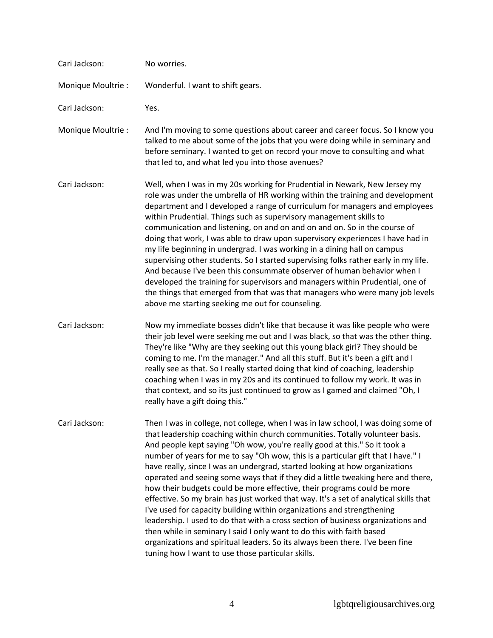| Cari Jackson:      | No worries.                                                                                                                                                                                                                                                                                                                                                                                                                                                                                                                                                                                                                                                                                                                                                                                                                                                                                                                                                                                                                                            |
|--------------------|--------------------------------------------------------------------------------------------------------------------------------------------------------------------------------------------------------------------------------------------------------------------------------------------------------------------------------------------------------------------------------------------------------------------------------------------------------------------------------------------------------------------------------------------------------------------------------------------------------------------------------------------------------------------------------------------------------------------------------------------------------------------------------------------------------------------------------------------------------------------------------------------------------------------------------------------------------------------------------------------------------------------------------------------------------|
| Monique Moultrie : | Wonderful. I want to shift gears.                                                                                                                                                                                                                                                                                                                                                                                                                                                                                                                                                                                                                                                                                                                                                                                                                                                                                                                                                                                                                      |
| Cari Jackson:      | Yes.                                                                                                                                                                                                                                                                                                                                                                                                                                                                                                                                                                                                                                                                                                                                                                                                                                                                                                                                                                                                                                                   |
| Monique Moultrie : | And I'm moving to some questions about career and career focus. So I know you<br>talked to me about some of the jobs that you were doing while in seminary and<br>before seminary. I wanted to get on record your move to consulting and what<br>that led to, and what led you into those avenues?                                                                                                                                                                                                                                                                                                                                                                                                                                                                                                                                                                                                                                                                                                                                                     |
| Cari Jackson:      | Well, when I was in my 20s working for Prudential in Newark, New Jersey my<br>role was under the umbrella of HR working within the training and development<br>department and I developed a range of curriculum for managers and employees<br>within Prudential. Things such as supervisory management skills to<br>communication and listening, on and on and on and on. So in the course of<br>doing that work, I was able to draw upon supervisory experiences I have had in<br>my life beginning in undergrad. I was working in a dining hall on campus<br>supervising other students. So I started supervising folks rather early in my life.<br>And because I've been this consummate observer of human behavior when I<br>developed the training for supervisors and managers within Prudential, one of<br>the things that emerged from that was that managers who were many job levels<br>above me starting seeking me out for counseling.                                                                                                     |
| Cari Jackson:      | Now my immediate bosses didn't like that because it was like people who were<br>their job level were seeking me out and I was black, so that was the other thing.<br>They're like "Why are they seeking out this young black girl? They should be<br>coming to me. I'm the manager." And all this stuff. But it's been a gift and I<br>really see as that. So I really started doing that kind of coaching, leadership<br>coaching when I was in my 20s and its continued to follow my work. It was in<br>that context, and so its just continued to grow as I gamed and claimed "Oh, I<br>really have a gift doing this."                                                                                                                                                                                                                                                                                                                                                                                                                             |
| Cari Jackson:      | Then I was in college, not college, when I was in law school, I was doing some of<br>that leadership coaching within church communities. Totally volunteer basis.<br>And people kept saying "Oh wow, you're really good at this." So it took a<br>number of years for me to say "Oh wow, this is a particular gift that I have." I<br>have really, since I was an undergrad, started looking at how organizations<br>operated and seeing some ways that if they did a little tweaking here and there,<br>how their budgets could be more effective, their programs could be more<br>effective. So my brain has just worked that way. It's a set of analytical skills that<br>I've used for capacity building within organizations and strengthening<br>leadership. I used to do that with a cross section of business organizations and<br>then while in seminary I said I only want to do this with faith based<br>organizations and spiritual leaders. So its always been there. I've been fine<br>tuning how I want to use those particular skills. |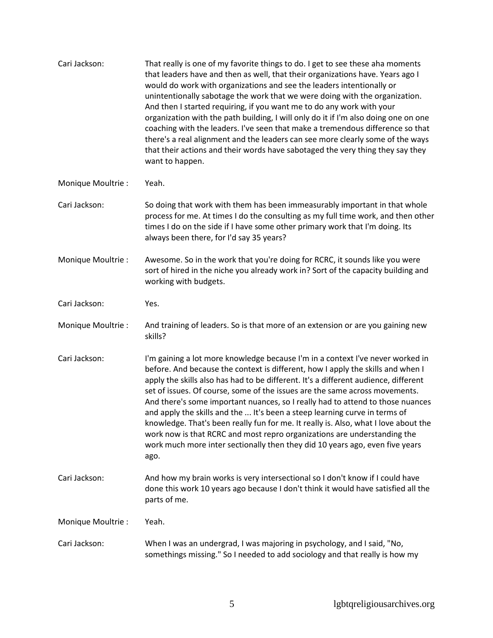| Cari Jackson:      | That really is one of my favorite things to do. I get to see these aha moments<br>that leaders have and then as well, that their organizations have. Years ago I<br>would do work with organizations and see the leaders intentionally or<br>unintentionally sabotage the work that we were doing with the organization.<br>And then I started requiring, if you want me to do any work with your<br>organization with the path building, I will only do it if I'm also doing one on one<br>coaching with the leaders. I've seen that make a tremendous difference so that<br>there's a real alignment and the leaders can see more clearly some of the ways<br>that their actions and their words have sabotaged the very thing they say they<br>want to happen.  |
|--------------------|--------------------------------------------------------------------------------------------------------------------------------------------------------------------------------------------------------------------------------------------------------------------------------------------------------------------------------------------------------------------------------------------------------------------------------------------------------------------------------------------------------------------------------------------------------------------------------------------------------------------------------------------------------------------------------------------------------------------------------------------------------------------|
| Monique Moultrie : | Yeah.                                                                                                                                                                                                                                                                                                                                                                                                                                                                                                                                                                                                                                                                                                                                                              |
| Cari Jackson:      | So doing that work with them has been immeasurably important in that whole<br>process for me. At times I do the consulting as my full time work, and then other<br>times I do on the side if I have some other primary work that I'm doing. Its<br>always been there, for I'd say 35 years?                                                                                                                                                                                                                                                                                                                                                                                                                                                                        |
| Monique Moultrie : | Awesome. So in the work that you're doing for RCRC, it sounds like you were<br>sort of hired in the niche you already work in? Sort of the capacity building and<br>working with budgets.                                                                                                                                                                                                                                                                                                                                                                                                                                                                                                                                                                          |
| Cari Jackson:      | Yes.                                                                                                                                                                                                                                                                                                                                                                                                                                                                                                                                                                                                                                                                                                                                                               |
| Monique Moultrie : | And training of leaders. So is that more of an extension or are you gaining new<br>skills?                                                                                                                                                                                                                                                                                                                                                                                                                                                                                                                                                                                                                                                                         |
| Cari Jackson:      | I'm gaining a lot more knowledge because I'm in a context I've never worked in<br>before. And because the context is different, how I apply the skills and when I<br>apply the skills also has had to be different. It's a different audience, different<br>set of issues. Of course, some of the issues are the same across movements.<br>And there's some important nuances, so I really had to attend to those nuances<br>and apply the skills and the  It's been a steep learning curve in terms of<br>knowledge. That's been really fun for me. It really is. Also, what I love about the<br>work now is that RCRC and most repro organizations are understanding the<br>work much more inter sectionally then they did 10 years ago, even five years<br>ago. |
| Cari Jackson:      | And how my brain works is very intersectional so I don't know if I could have<br>done this work 10 years ago because I don't think it would have satisfied all the<br>parts of me.                                                                                                                                                                                                                                                                                                                                                                                                                                                                                                                                                                                 |
| Monique Moultrie : | Yeah.                                                                                                                                                                                                                                                                                                                                                                                                                                                                                                                                                                                                                                                                                                                                                              |
| Cari Jackson:      | When I was an undergrad, I was majoring in psychology, and I said, "No,<br>somethings missing." So I needed to add sociology and that really is how my                                                                                                                                                                                                                                                                                                                                                                                                                                                                                                                                                                                                             |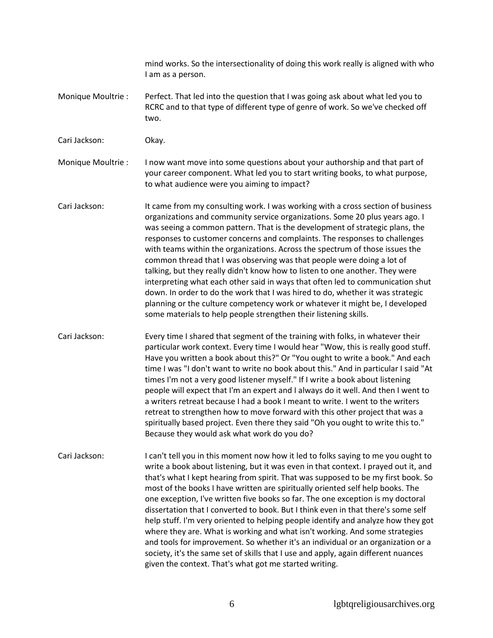mind works. So the intersectionality of doing this work really is aligned with who I am as a person.

- Monique Moultrie : Perfect. That led into the question that I was going ask about what led you to RCRC and to that type of different type of genre of work. So we've checked off two.
- Cari Jackson: Okay.

Monique Moultrie : I now want move into some questions about your authorship and that part of your career component. What led you to start writing books, to what purpose, to what audience were you aiming to impact?

Cari Jackson: It came from my consulting work. I was working with a cross section of business organizations and community service organizations. Some 20 plus years ago. I was seeing a common pattern. That is the development of strategic plans, the responses to customer concerns and complaints. The responses to challenges with teams within the organizations. Across the spectrum of those issues the common thread that I was observing was that people were doing a lot of talking, but they really didn't know how to listen to one another. They were interpreting what each other said in ways that often led to communication shut down. In order to do the work that I was hired to do, whether it was strategic planning or the culture competency work or whatever it might be, I developed some materials to help people strengthen their listening skills.

- Cari Jackson: Every time I shared that segment of the training with folks, in whatever their particular work context. Every time I would hear "Wow, this is really good stuff. Have you written a book about this?" Or "You ought to write a book." And each time I was "I don't want to write no book about this." And in particular I said "At times I'm not a very good listener myself." If I write a book about listening people will expect that I'm an expert and I always do it well. And then I went to a writers retreat because I had a book I meant to write. I went to the writers retreat to strengthen how to move forward with this other project that was a spiritually based project. Even there they said "Oh you ought to write this to." Because they would ask what work do you do?
- Cari Jackson: I can't tell you in this moment now how it led to folks saying to me you ought to write a book about listening, but it was even in that context. I prayed out it, and that's what I kept hearing from spirit. That was supposed to be my first book. So most of the books I have written are spiritually oriented self help books. The one exception, I've written five books so far. The one exception is my doctoral dissertation that I converted to book. But I think even in that there's some self help stuff. I'm very oriented to helping people identify and analyze how they got where they are. What is working and what isn't working. And some strategies and tools for improvement. So whether it's an individual or an organization or a society, it's the same set of skills that I use and apply, again different nuances given the context. That's what got me started writing.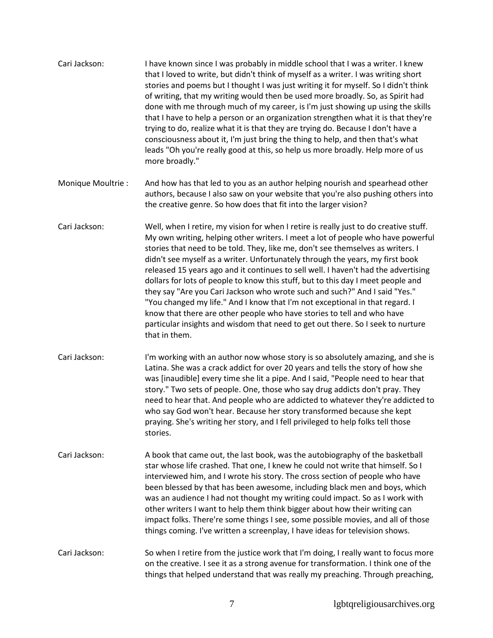| I have known since I was probably in middle school that I was a writer. I knew<br>Cari Jackson:<br>that I loved to write, but didn't think of myself as a writer. I was writing short<br>stories and poems but I thought I was just writing it for myself. So I didn't think<br>of writing, that my writing would then be used more broadly. So, as Spirit had<br>done with me through much of my career, is I'm just showing up using the skills<br>that I have to help a person or an organization strengthen what it is that they're<br>trying to do, realize what it is that they are trying do. Because I don't have a<br>consciousness about it, I'm just bring the thing to help, and then that's what<br>leads "Oh you're really good at this, so help us more broadly. Help more of us<br>more broadly." |  |
|-------------------------------------------------------------------------------------------------------------------------------------------------------------------------------------------------------------------------------------------------------------------------------------------------------------------------------------------------------------------------------------------------------------------------------------------------------------------------------------------------------------------------------------------------------------------------------------------------------------------------------------------------------------------------------------------------------------------------------------------------------------------------------------------------------------------|--|
|-------------------------------------------------------------------------------------------------------------------------------------------------------------------------------------------------------------------------------------------------------------------------------------------------------------------------------------------------------------------------------------------------------------------------------------------------------------------------------------------------------------------------------------------------------------------------------------------------------------------------------------------------------------------------------------------------------------------------------------------------------------------------------------------------------------------|--|

- Monique Moultrie : And how has that led to you as an author helping nourish and spearhead other authors, because I also saw on your website that you're also pushing others into the creative genre. So how does that fit into the larger vision?
- Cari Jackson: Well, when I retire, my vision for when I retire is really just to do creative stuff. My own writing, helping other writers. I meet a lot of people who have powerful stories that need to be told. They, like me, don't see themselves as writers. I didn't see myself as a writer. Unfortunately through the years, my first book released 15 years ago and it continues to sell well. I haven't had the advertising dollars for lots of people to know this stuff, but to this day I meet people and they say "Are you Cari Jackson who wrote such and such?" And I said "Yes." "You changed my life." And I know that I'm not exceptional in that regard. I know that there are other people who have stories to tell and who have particular insights and wisdom that need to get out there. So I seek to nurture that in them.
- Cari Jackson: I'm working with an author now whose story is so absolutely amazing, and she is Latina. She was a crack addict for over 20 years and tells the story of how she was [inaudible] every time she lit a pipe. And I said, "People need to hear that story." Two sets of people. One, those who say drug addicts don't pray. They need to hear that. And people who are addicted to whatever they're addicted to who say God won't hear. Because her story transformed because she kept praying. She's writing her story, and I fell privileged to help folks tell those stories.
- Cari Jackson: A book that came out, the last book, was the autobiography of the basketball star whose life crashed. That one, I knew he could not write that himself. So I interviewed him, and I wrote his story. The cross section of people who have been blessed by that has been awesome, including black men and boys, which was an audience I had not thought my writing could impact. So as I work with other writers I want to help them think bigger about how their writing can impact folks. There're some things I see, some possible movies, and all of those things coming. I've written a screenplay, I have ideas for television shows.
- Cari Jackson: So when I retire from the justice work that I'm doing, I really want to focus more on the creative. I see it as a strong avenue for transformation. I think one of the things that helped understand that was really my preaching. Through preaching,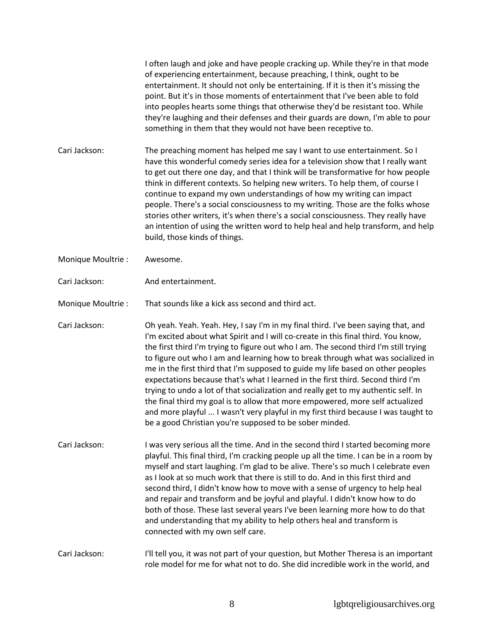I often laugh and joke and have people cracking up. While they're in that mode of experiencing entertainment, because preaching, I think, ought to be entertainment. It should not only be entertaining. If it is then it's missing the point. But it's in those moments of entertainment that I've been able to fold into peoples hearts some things that otherwise they'd be resistant too. While they're laughing and their defenses and their guards are down, I'm able to pour something in them that they would not have been receptive to.

Cari Jackson: The preaching moment has helped me say I want to use entertainment. So I have this wonderful comedy series idea for a television show that I really want to get out there one day, and that I think will be transformative for how people think in different contexts. So helping new writers. To help them, of course I continue to expand my own understandings of how my writing can impact people. There's a social consciousness to my writing. Those are the folks whose stories other writers, it's when there's a social consciousness. They really have an intention of using the written word to help heal and help transform, and help build, those kinds of things.

- Monique Moultrie : Awesome.
- Cari Jackson: And entertainment.

Monique Moultrie : That sounds like a kick ass second and third act.

Cari Jackson: Oh yeah. Yeah. Yeah. Hey, I say I'm in my final third. I've been saying that, and I'm excited about what Spirit and I will co-create in this final third. You know, the first third I'm trying to figure out who I am. The second third I'm still trying to figure out who I am and learning how to break through what was socialized in me in the first third that I'm supposed to guide my life based on other peoples expectations because that's what I learned in the first third. Second third I'm trying to undo a lot of that socialization and really get to my authentic self. In the final third my goal is to allow that more empowered, more self actualized and more playful ... I wasn't very playful in my first third because I was taught to be a good Christian you're supposed to be sober minded.

Cari Jackson: I was very serious all the time. And in the second third I started becoming more playful. This final third, I'm cracking people up all the time. I can be in a room by myself and start laughing. I'm glad to be alive. There's so much I celebrate even as I look at so much work that there is still to do. And in this first third and second third, I didn't know how to move with a sense of urgency to help heal and repair and transform and be joyful and playful. I didn't know how to do both of those. These last several years I've been learning more how to do that and understanding that my ability to help others heal and transform is connected with my own self care.

Cari Jackson: I'll tell you, it was not part of your question, but Mother Theresa is an important role model for me for what not to do. She did incredible work in the world, and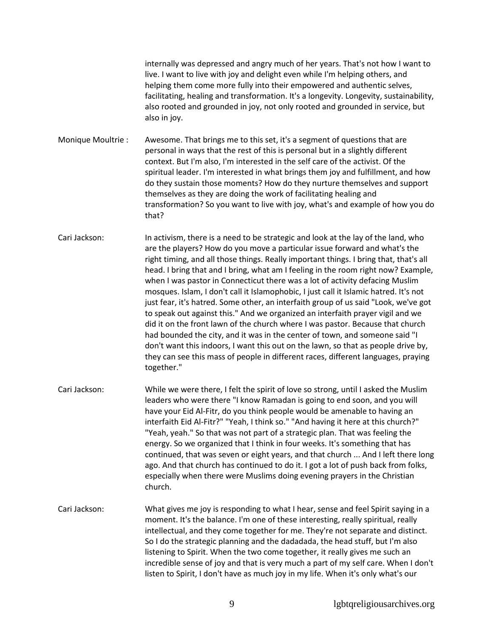internally was depressed and angry much of her years. That's not how I want to live. I want to live with joy and delight even while I'm helping others, and helping them come more fully into their empowered and authentic selves, facilitating, healing and transformation. It's a longevity. Longevity, sustainability, also rooted and grounded in joy, not only rooted and grounded in service, but also in joy.

Monique Moultrie : Awesome. That brings me to this set, it's a segment of questions that are personal in ways that the rest of this is personal but in a slightly different context. But I'm also, I'm interested in the self care of the activist. Of the spiritual leader. I'm interested in what brings them joy and fulfillment, and how do they sustain those moments? How do they nurture themselves and support themselves as they are doing the work of facilitating healing and transformation? So you want to live with joy, what's and example of how you do that?

Cari Jackson: In activism, there is a need to be strategic and look at the lay of the land, who are the players? How do you move a particular issue forward and what's the right timing, and all those things. Really important things. I bring that, that's all head. I bring that and I bring, what am I feeling in the room right now? Example, when I was pastor in Connecticut there was a lot of activity defacing Muslim mosques. Islam, I don't call it Islamophobic, I just call it Islamic hatred. It's not just fear, it's hatred. Some other, an interfaith group of us said "Look, we've got to speak out against this." And we organized an interfaith prayer vigil and we did it on the front lawn of the church where I was pastor. Because that church had bounded the city, and it was in the center of town, and someone said "I don't want this indoors, I want this out on the lawn, so that as people drive by, they can see this mass of people in different races, different languages, praying together."

- Cari Jackson: While we were there, I felt the spirit of love so strong, until I asked the Muslim leaders who were there "I know Ramadan is going to end soon, and you will have your Eid Al-Fitr, do you think people would be amenable to having an interfaith Eid Al-Fitr?" "Yeah, I think so." "And having it here at this church?" "Yeah, yeah." So that was not part of a strategic plan. That was feeling the energy. So we organized that I think in four weeks. It's something that has continued, that was seven or eight years, and that church ... And I left there long ago. And that church has continued to do it. I got a lot of push back from folks, especially when there were Muslims doing evening prayers in the Christian church.
- Cari Jackson: What gives me joy is responding to what I hear, sense and feel Spirit saying in a moment. It's the balance. I'm one of these interesting, really spiritual, really intellectual, and they come together for me. They're not separate and distinct. So I do the strategic planning and the dadadada, the head stuff, but I'm also listening to Spirit. When the two come together, it really gives me such an incredible sense of joy and that is very much a part of my self care. When I don't listen to Spirit, I don't have as much joy in my life. When it's only what's our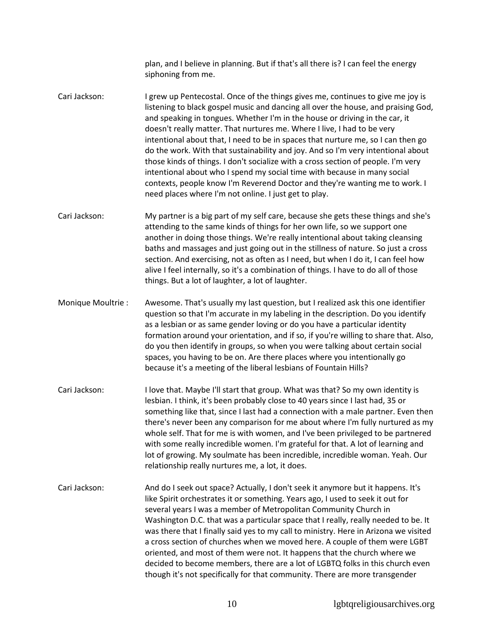plan, and I believe in planning. But if that's all there is? I can feel the energy siphoning from me.

- Cari Jackson: I grew up Pentecostal. Once of the things gives me, continues to give me joy is listening to black gospel music and dancing all over the house, and praising God, and speaking in tongues. Whether I'm in the house or driving in the car, it doesn't really matter. That nurtures me. Where I live, I had to be very intentional about that, I need to be in spaces that nurture me, so I can then go do the work. With that sustainability and joy. And so I'm very intentional about those kinds of things. I don't socialize with a cross section of people. I'm very intentional about who I spend my social time with because in many social contexts, people know I'm Reverend Doctor and they're wanting me to work. I need places where I'm not online. I just get to play.
- Cari Jackson: My partner is a big part of my self care, because she gets these things and she's attending to the same kinds of things for her own life, so we support one another in doing those things. We're really intentional about taking cleansing baths and massages and just going out in the stillness of nature. So just a cross section. And exercising, not as often as I need, but when I do it, I can feel how alive I feel internally, so it's a combination of things. I have to do all of those things. But a lot of laughter, a lot of laughter.
- Monique Moultrie : Awesome. That's usually my last question, but I realized ask this one identifier question so that I'm accurate in my labeling in the description. Do you identify as a lesbian or as same gender loving or do you have a particular identity formation around your orientation, and if so, if you're willing to share that. Also, do you then identify in groups, so when you were talking about certain social spaces, you having to be on. Are there places where you intentionally go because it's a meeting of the liberal lesbians of Fountain Hills?
- Cari Jackson: I love that. Maybe I'll start that group. What was that? So my own identity is lesbian. I think, it's been probably close to 40 years since I last had, 35 or something like that, since I last had a connection with a male partner. Even then there's never been any comparison for me about where I'm fully nurtured as my whole self. That for me is with women, and I've been privileged to be partnered with some really incredible women. I'm grateful for that. A lot of learning and lot of growing. My soulmate has been incredible, incredible woman. Yeah. Our relationship really nurtures me, a lot, it does.
- Cari Jackson: And do I seek out space? Actually, I don't seek it anymore but it happens. It's like Spirit orchestrates it or something. Years ago, I used to seek it out for several years I was a member of Metropolitan Community Church in Washington D.C. that was a particular space that I really, really needed to be. It was there that I finally said yes to my call to ministry. Here in Arizona we visited a cross section of churches when we moved here. A couple of them were LGBT oriented, and most of them were not. It happens that the church where we decided to become members, there are a lot of LGBTQ folks in this church even though it's not specifically for that community. There are more transgender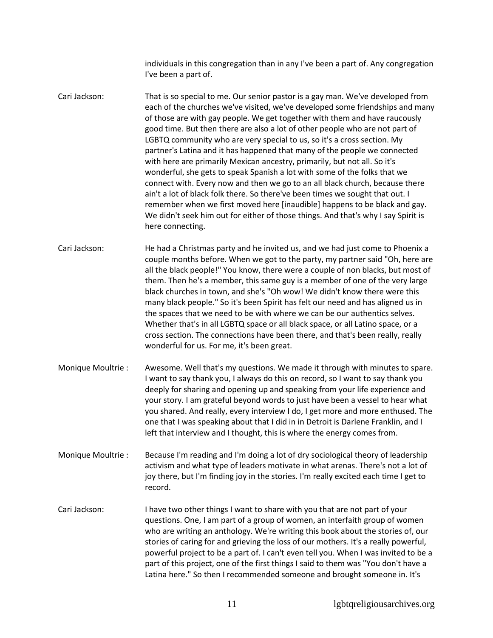individuals in this congregation than in any I've been a part of. Any congregation I've been a part of.

Cari Jackson: That is so special to me. Our senior pastor is a gay man. We've developed from each of the churches we've visited, we've developed some friendships and many of those are with gay people. We get together with them and have raucously good time. But then there are also a lot of other people who are not part of LGBTQ community who are very special to us, so it's a cross section. My partner's Latina and it has happened that many of the people we connected with here are primarily Mexican ancestry, primarily, but not all. So it's wonderful, she gets to speak Spanish a lot with some of the folks that we connect with. Every now and then we go to an all black church, because there ain't a lot of black folk there. So there've been times we sought that out. I remember when we first moved here [inaudible] happens to be black and gay. We didn't seek him out for either of those things. And that's why I say Spirit is here connecting.

Cari Jackson: He had a Christmas party and he invited us, and we had just come to Phoenix a couple months before. When we got to the party, my partner said "Oh, here are all the black people!" You know, there were a couple of non blacks, but most of them. Then he's a member, this same guy is a member of one of the very large black churches in town, and she's "Oh wow! We didn't know there were this many black people." So it's been Spirit has felt our need and has aligned us in the spaces that we need to be with where we can be our authentics selves. Whether that's in all LGBTQ space or all black space, or all Latino space, or a cross section. The connections have been there, and that's been really, really wonderful for us. For me, it's been great.

- Monique Moultrie : Awesome. Well that's my questions. We made it through with minutes to spare. I want to say thank you, I always do this on record, so I want to say thank you deeply for sharing and opening up and speaking from your life experience and your story. I am grateful beyond words to just have been a vessel to hear what you shared. And really, every interview I do, I get more and more enthused. The one that I was speaking about that I did in in Detroit is Darlene Franklin, and I left that interview and I thought, this is where the energy comes from.
- Monique Moultrie : Because I'm reading and I'm doing a lot of dry sociological theory of leadership activism and what type of leaders motivate in what arenas. There's not a lot of joy there, but I'm finding joy in the stories. I'm really excited each time I get to record.
- Cari Jackson: I have two other things I want to share with you that are not part of your questions. One, I am part of a group of women, an interfaith group of women who are writing an anthology. We're writing this book about the stories of, our stories of caring for and grieving the loss of our mothers. It's a really powerful, powerful project to be a part of. I can't even tell you. When I was invited to be a part of this project, one of the first things I said to them was "You don't have a Latina here." So then I recommended someone and brought someone in. It's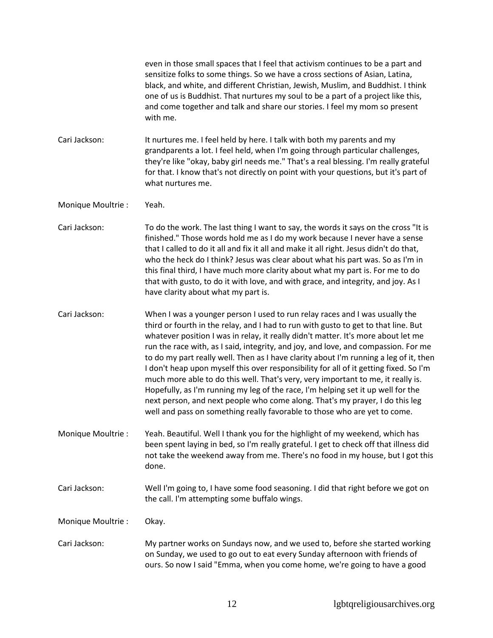|                    | even in those small spaces that I feel that activism continues to be a part and<br>sensitize folks to some things. So we have a cross sections of Asian, Latina,<br>black, and white, and different Christian, Jewish, Muslim, and Buddhist. I think<br>one of us is Buddhist. That nurtures my soul to be a part of a project like this,<br>and come together and talk and share our stories. I feel my mom so present<br>with me.                                                                                                                                                                                                                                                                                                                                                                                                                                 |
|--------------------|---------------------------------------------------------------------------------------------------------------------------------------------------------------------------------------------------------------------------------------------------------------------------------------------------------------------------------------------------------------------------------------------------------------------------------------------------------------------------------------------------------------------------------------------------------------------------------------------------------------------------------------------------------------------------------------------------------------------------------------------------------------------------------------------------------------------------------------------------------------------|
| Cari Jackson:      | It nurtures me. I feel held by here. I talk with both my parents and my<br>grandparents a lot. I feel held, when I'm going through particular challenges,<br>they're like "okay, baby girl needs me." That's a real blessing. I'm really grateful<br>for that. I know that's not directly on point with your questions, but it's part of<br>what nurtures me.                                                                                                                                                                                                                                                                                                                                                                                                                                                                                                       |
| Monique Moultrie : | Yeah.                                                                                                                                                                                                                                                                                                                                                                                                                                                                                                                                                                                                                                                                                                                                                                                                                                                               |
| Cari Jackson:      | To do the work. The last thing I want to say, the words it says on the cross "It is<br>finished." Those words hold me as I do my work because I never have a sense<br>that I called to do it all and fix it all and make it all right. Jesus didn't do that,<br>who the heck do I think? Jesus was clear about what his part was. So as I'm in<br>this final third, I have much more clarity about what my part is. For me to do<br>that with gusto, to do it with love, and with grace, and integrity, and joy. As I<br>have clarity about what my part is.                                                                                                                                                                                                                                                                                                        |
| Cari Jackson:      | When I was a younger person I used to run relay races and I was usually the<br>third or fourth in the relay, and I had to run with gusto to get to that line. But<br>whatever position I was in relay, it really didn't matter. It's more about let me<br>run the race with, as I said, integrity, and joy, and love, and compassion. For me<br>to do my part really well. Then as I have clarity about I'm running a leg of it, then<br>I don't heap upon myself this over responsibility for all of it getting fixed. So I'm<br>much more able to do this well. That's very, very important to me, it really is.<br>Hopefully, as I'm running my leg of the race, I'm helping set it up well for the<br>next person, and next people who come along. That's my prayer, I do this leg<br>well and pass on something really favorable to those who are yet to come. |
| Monique Moultrie : | Yeah. Beautiful. Well I thank you for the highlight of my weekend, which has<br>been spent laying in bed, so I'm really grateful. I get to check off that illness did<br>not take the weekend away from me. There's no food in my house, but I got this<br>done.                                                                                                                                                                                                                                                                                                                                                                                                                                                                                                                                                                                                    |
| Cari Jackson:      | Well I'm going to, I have some food seasoning. I did that right before we got on<br>the call. I'm attempting some buffalo wings.                                                                                                                                                                                                                                                                                                                                                                                                                                                                                                                                                                                                                                                                                                                                    |
| Monique Moultrie:  | Okay.                                                                                                                                                                                                                                                                                                                                                                                                                                                                                                                                                                                                                                                                                                                                                                                                                                                               |
|                    |                                                                                                                                                                                                                                                                                                                                                                                                                                                                                                                                                                                                                                                                                                                                                                                                                                                                     |

Cari Jackson: My partner works on Sundays now, and we used to, before she started working on Sunday, we used to go out to eat every Sunday afternoon with friends of ours. So now I said "Emma, when you come home, we're going to have a good